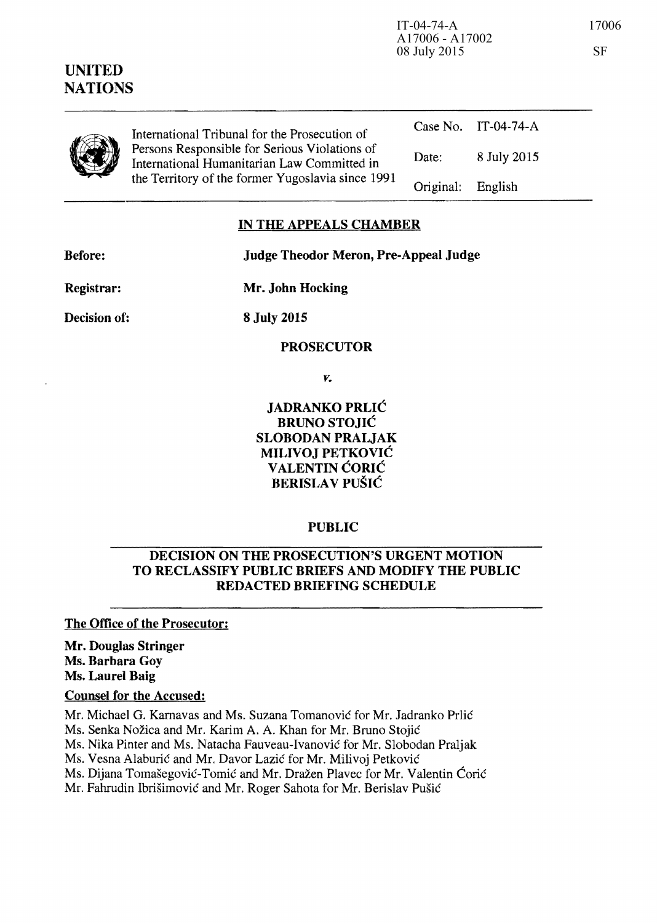| UNITED<br><b>NATIONS</b> |                                                                                                                                                   | A17006 - A17002<br>08 July 2015 |                     | <b>SF</b> |
|--------------------------|---------------------------------------------------------------------------------------------------------------------------------------------------|---------------------------------|---------------------|-----------|
|                          | International Tribunal for the Prosecution of                                                                                                     |                                 | Case No. IT-04-74-A |           |
|                          | Persons Responsible for Serious Violations of<br>International Humanitarian Law Committed in<br>the Territory of the former Yugoslavia since 1991 | Date:                           | 8 July 2015         |           |
|                          |                                                                                                                                                   | Original:                       | English             |           |

## **IN THE APPEALS CHAMBER**

**Before: Judge Theodor Meron, Pre-Appeal Judge** 

**Registrar:** 

**Mr. John Hocking** 

**Decision of:** 

**8 July 2015** 

**PROSECUTOR** 

*Y.* 

**JADRANKO PRLIC BRUNOSTOJIC SLOBODAN PRALJAK MILIVOJ PETKOVIC VALENTIN CORIC BERISLA V PUSIC** 

## **PUBLIC**

# **DECISION ON THE PROSECUTION'S URGENT MOTION TO RECLASSIFY PUBLIC BRIEFS AND MODIFY THE PUBLIC REDACTED BRIEFING SCHEDULE**

**The Office of the Prosecutor:** 

**Mr. Douglas Stringer Ms. Barbara Goy** 

**Ms. Laurel Baig** 

## **Counsel for the Accused:**

Mr. Michael O. Karnavas and Ms. Suzana Tomanovie for Mr. Jadranko Prlie

Ms. Senka Nozica and Mr. Karim A. A. Khan for Mr. Bruno Stojie

Ms. Nika Pinter and Ms. Natacha Fauveau-Ivanovic for Mr. Slobodan Praljak

Ms. Vesna Alaburic and Mr. Davor Lazic for Mr. Milivoj Petkovie

Ms. Dijana Tomašegović-Tomić and Mr. Dražen Plavec for Mr. Valentin Ćorić

Mr. Fahrudin Ibrisimovic and Mr. Roger Sahota for Mr. Berislav Pusie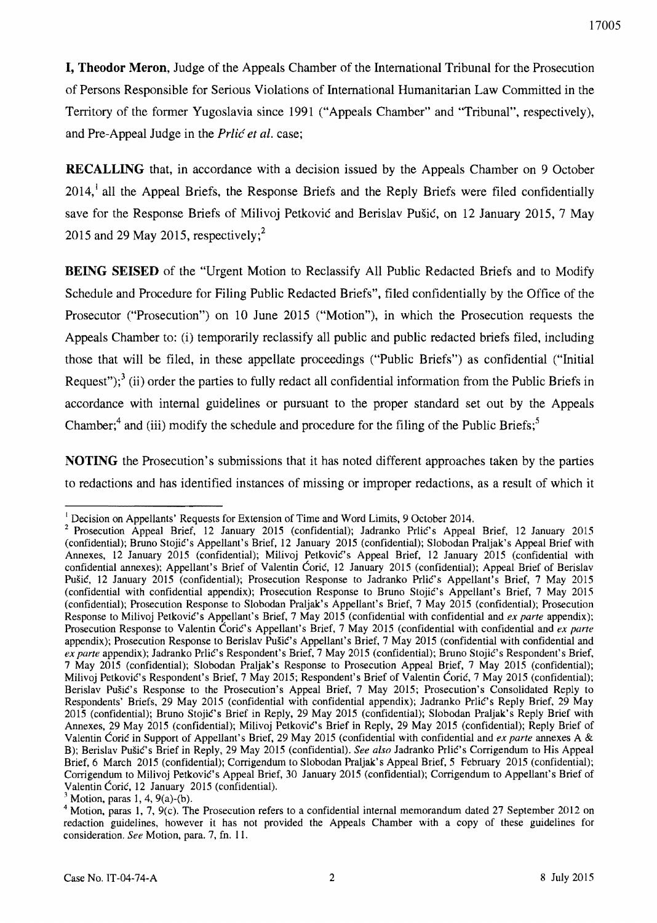**I, Theodor Meron,** Judge of the Appeals Chamber of the International Tribunal for the Prosecution of Persons Responsible for Serious Violations of International Humanitarian Law Committed in the Territory of the former Yugoslavia since 1991 ("Appeals Chamber" and "Tribunal", respectively), and Pre-Appeal Judge in the Prlic *et al.* case;

**RECALLING** that, in accordance with a decision issued by the Appeals Chamber on 9 October  $2014$ , all the Appeal Briefs, the Response Briefs and the Reply Briefs were filed confidentially save for the Response Briefs of Milivoj Petković and Berislav Pušić, on 12 January 2015, 7 May 2015 and 29 May 2015, respectively;<sup>2</sup>

**BEING SEISED** of the "Urgent Motion to Reclassify All Public Redacted Briefs and to Modify Schedule and Procedure for Filing Public Redacted Briefs", filed confidentially by the Office of the Prosecutor ("Prosecution") on 10 June 2015 ("Motion"), in which the Prosecution requests the Appeals Chamber to: (i) temporarily reclassify all public and public redacted briefs filed, including those that will be filed, in these appellate proceedings ("Public Briefs") as confidential ("Initial Request");<sup>3</sup> (ii) order the parties to fully redact all confidential information from the Public Briefs in accordance with internal guidelines or pursuant to the proper standard set out by the Appeals Chamber;<sup>4</sup> and (iii) modify the schedule and procedure for the filing of the Public Briefs;<sup>5</sup>

**NOTING** the Prosecution's submissions that it has noted different approaches taken by the parties to redactions and has identified instances of missing or improper redactions, as a result of which it

<sup>&</sup>lt;sup>1</sup> Decision on Appellants' Requests for Extension of Time and Word Limits, 9 October 2014.

<sup>&</sup>lt;sup>2</sup> Prosecution Appeal Brief, 12 January 2015 (confidential); Jadranko Prlić's Appeal Brief, 12 January 2015 (confidential); Bruno Stojic's Appellant's Brief, 12 January 2015 (confidential); Slobodan Praljak's Appeal Brief with Annexes, 12 January 2015 (confidential); Milivoj Petković's Appeal Brief, 12 January 2015 (confidential with confidential annexes): Appellant's Brief of Valentin Coric, 12 January 2015 (confidential); Appeal Brief of Berislav Pušić, 12 January 2015 (confidential); Prosecution Response to Jadranko Prlić's Appellant's Brief, 7 May 2015 (confidential with confidential appendix); Prosecution Response to Bruno Stojic's Appellant'S Brief, 7 May 2015 (confidential); Prosecution Response to Slobodan Praljak's Appellant's Brief, 7 May 2015 (confidential); Prosecution Response to Milivoj Petković's Appellant's Brief, 7 May 2015 (confidential with confidential and *ex parte* appendix); Prosecution Response to Valentin Coric's Appellant's Brief, 7 May 2015 (confidential with confidential and *ex parte*  appendix); Prosecution Response to Berislav Pusic's Appellant's Brief, 7 May 2015 (confidential with confidential and *ex parte appendix)*; Jadranko Prlić's Respondent's Brief, 7 May 2015 (confidential); Bruno Stojić's Respondent's Brief, 7 May 2015 (confidential); Siobodan Praljak's Response to Prosecution Appeal Brief, 7 May 2015 (confidential); Milivoj Petković's Respondent's Brief, 7 May 2015; Respondent's Brief of Valentin Coric, 7 May 2015 (confidential); Berislav Pusic's Response to the Prosecution's Appeal Brief, 7 May 2015; Prosecution's Consolidated Reply to Respondents' Briefs, 29 May 2015 (confidential with confidential appendix); Jadranko Prlic's Reply Brief, 29 May 2015 (confidential); Bruno Stojic's Brief in Reply, 29 May 2015 (confidential); Slobodan Praljak's Reply Brief with Annexes, 29 May 2015 (confidential); Milivoj Petkovic's Brief in Reply, 29 May 2015 (confidential); Reply Brief of Valentin Coric in Support of Appellant's Brief, 29 May 2015 (confidential with confidential and *ex parte* annexes A & B); Berislav Pusic's Brief in Reply, 29 May 2015 (confidential). *See also* Jadranko Prlic's Corrigendum to His Appeal Brief, 6 March 2015 (confidential); Corrigendum to Slobodan Praljak's Appeal Brief, 5 February 2015 (confidential); Corrigendum to Milivoj Petkovic's Appeal Brief, 30 January 2015 (confidential); Corrigendum to Appellant's Brief of Valentin Coric, 12 January 2015 (confidential).

 $3$  Motion, paras 1, 4, 9(a)-(b).

 $4$  Motion, paras 1, 7,  $9(c)$ . The Prosecution refers to a confidential internal memorandum dated 27 September 2012 on redaction guidelines, however it has not provided the Appeals Chamber with a copy of these guidelines for consideration. *See* Motion, para. 7, fn. 11.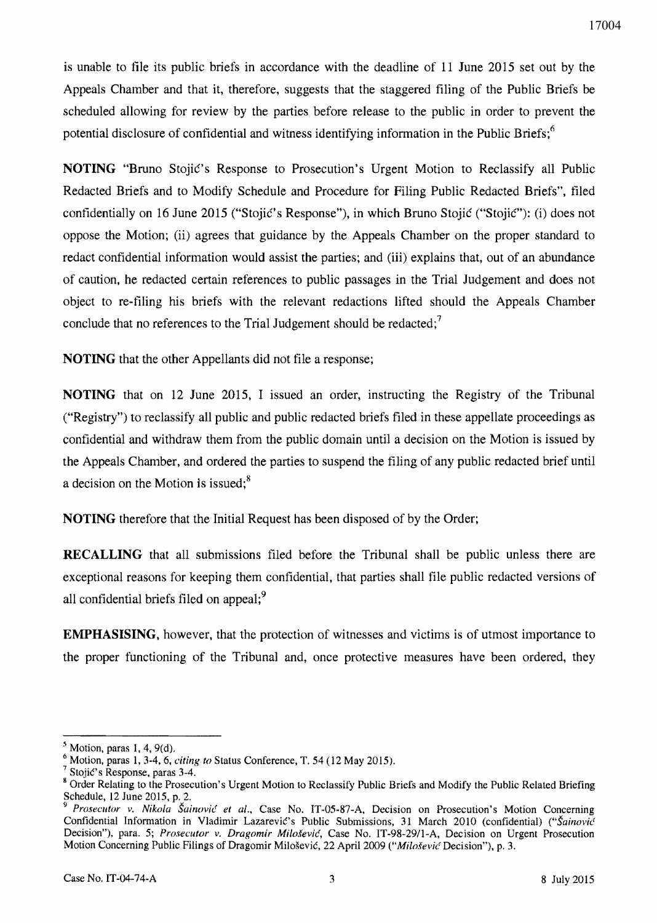is unable to file its public briefs in accordance with the deadline of 11 June 2015 set out by the Appeals Chamber and that it, therefore, suggests that the staggered filing of the Public Briefs be scheduled allowing for review by the parties before release to the public in order to prevent the potential disclosure of confidential and witness identifying information in the Public Briefs;<sup>6</sup>

**NOTING** "Bruno Stojic's Response to Prosecution's Urgent Motion to Reclassify all Public Redacted Briefs and to Modify Schedule and Procedure for Filing Public Redacted Briefs", filed confidentially on 16 June 2015 ("Stojić" sResponse"), in which Bruno Stojić ("Stojić"): (i) does not oppose the Motion; (ii) agrees that guidance by the Appeals Chamber on the proper standard to redact confidential information would assist the parties; and (iii) explains that, out of an abundance of caution, he redacted certain references to public passages in the Trial Judgement and does not object to re-filing his briefs with the relevant redactions lifted should the Appeals Chamber conclude that no references to the Trial Judgement should be redacted;<sup>7</sup>

**NOTING** that the other Appellants did not file a response;

**NOTING** that on 12 June 2015, I issued an order, instructing the Registry of the Tribunal ("Registry") to reclassify all public and public redacted briefs filed in these appellate proceedings as confidential and withdraw them from the public domain until a decision on the Motion is issued by the Appeals Chamber, and ordered the parties to suspend the filing of any public redacted brief until a decision on the Motion is issued:<sup>8</sup>

**NOTING** therefore that the Initial Request has been disposed of by the Order;

**RECALLING** that all submissions filed before the Tribunal shall be public unless there are exceptional reasons for keeping them confidential, that parties shall file public redacted versions of all confidential briefs filed on appeal; $9$ 

**EMPHASISING,** however, that the protection of witnesses and victims is of utmost importance to the proper functioning of the Tribunal and, once protective measures have been ordered, they

 $<sup>5</sup>$  Motion, paras 1, 4, 9(d).</sup>

<sup>6</sup> Motion, paras 1,3-4,6, *citing to* Status Conference, T. 54 (12 May 2015).

 $7$  Stojić's Response, paras 3-4.

<sup>&</sup>lt;sup>8</sup> Order Relating to the Prosecution's Urgent Motion to Reclassify Public Briefs and Modify the Public Related Briefing Schedule, 12 June 2015, p. 2.

*<sup>9</sup> Prosecutor* v. *Nikola Sainovic et al.,* Case No. IT-05-87-A, Decision on Prosecution's Motion Concerning Confidential Information in Vladimir Lazarevic's Public Submissions, 31 March 2010 (confidential) *("Šainović* Decision"), para. 5; *Prosecutor* v. *Dragomir Milosevic,* Case No. IT-98-2911-A, Decision on Urgent Prosecution Motion Concerning Public Filings of Dragomir Milosevic. 22 April 2009 *("MiloseviC* Decision"), p. 3.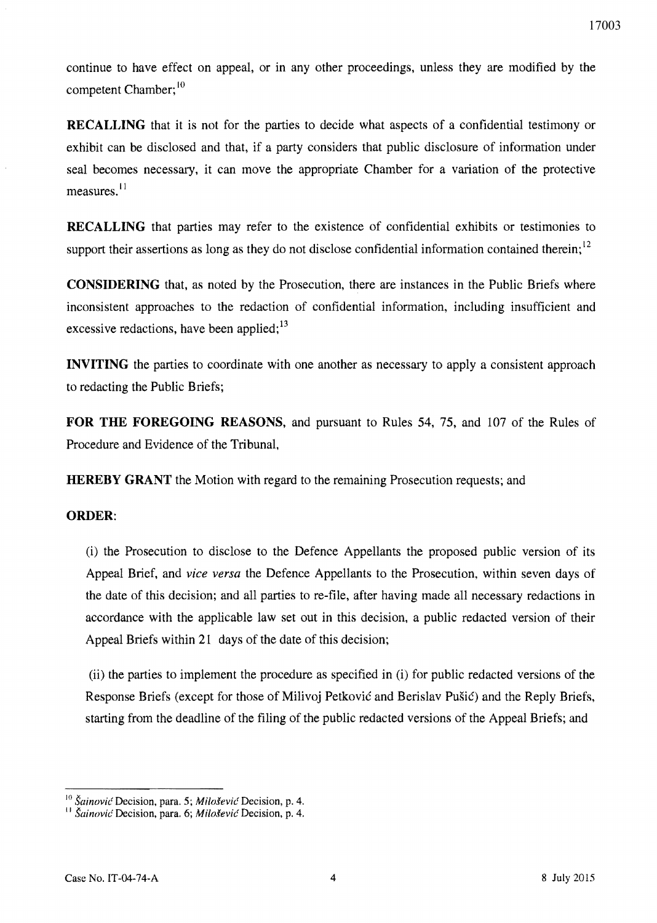continue to have effect on appeal, or in any other proceedings, unless they are modified by the competent Chamber;<sup>10</sup>

**RECALLING** that it is not for the parties to decide what aspects of a confidential testimony or exhibit can be disclosed and that, if a party considers that public disclosure of information under seal becomes necessary, it can move the appropriate Chamber for a variation of the protective measures. II

**RECALLING** that parties may refer to the existence of confidential exhibits or testimonies to support their assertions as long as they do not disclose confidential information contained therein;  $12$ 

**CONSIDERING** that, as noted by the Prosecution, there are instances in the Public Briefs where inconsistent approaches to the redaction of confidential information, including insufficient and excessive redactions, have been applied; $^{13}$ 

**INVITING** the parties to coordinate with one another as necessary to apply a consistent approach to redacting the Public Briefs;

**FOR THE FOREGOING REASONS,** and pursuant to Rules 54, 75, and 107 of the Rules of Procedure and Evidence of the Tribunal,

**HEREBY GRANT** the Motion with regard to the remaining Prosecution requests; and

## **ORDER:**

(i) the Prosecution to disclose to the Defence Appellants the proposed public version of its Appeal Brief, and *vice versa* the Defence Appellants to the Prosecution, within seven days of the date of this decision; and all parties to re-file, after having made all necessary redactions in accordance with the applicable law set out in this decision, a public redacted version of their Appeal Briefs within 21 days of the date of this decision;

(ii) the parties to implement the procedure as specified in (i) for public redacted versions of the Response Briefs (except for those of Milivoj Petkovic and Berislav Pusic) and the Reply Briefs, starting from the deadline of the filing of the public redacted versions of the Appeal Briefs; and

JO *Suinovic* Decision, para. 5; *Milosevic* Decision, p. 4.

<sup>&</sup>lt;sup>11</sup> *Šainović* Decision, para. 6; *Milošević* Decision, p. 4.